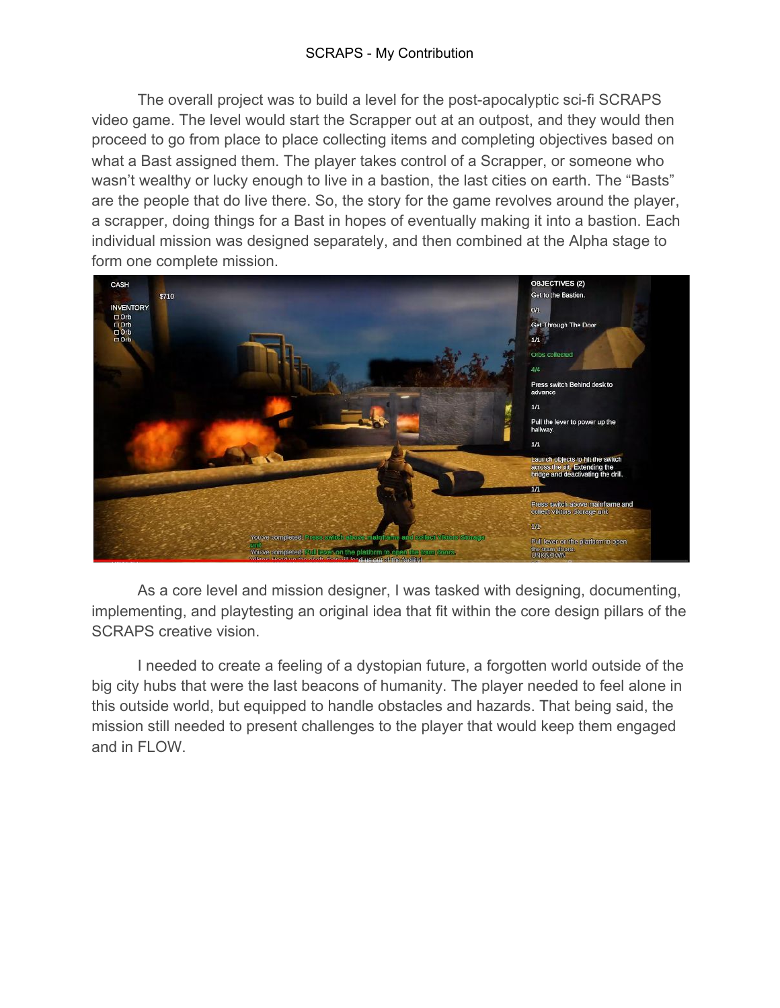## SCRAPS - My Contribution

The overall project was to build a level for the post-apocalyptic sci-fi SCRAPS video game. The level would start the Scrapper out at an outpost, and they would then proceed to go from place to place collecting items and completing objectives based on what a Bast assigned them. The player takes control of a Scrapper, or someone who wasn't wealthy or lucky enough to live in a bastion, the last cities on earth. The "Basts" are the people that do live there. So, the story for the game revolves around the player, a scrapper, doing things for a Bast in hopes of eventually making it into a bastion. Each individual mission was designed separately, and then combined at the Alpha stage to form one complete mission.



As a core level and mission designer, I was tasked with designing, documenting, implementing, and playtesting an original idea that fit within the core design pillars of the SCRAPS creative vision.

I needed to create a feeling of a dystopian future, a forgotten world outside of the big city hubs that were the last beacons of humanity. The player needed to feel alone in this outside world, but equipped to handle obstacles and hazards. That being said, the mission still needed to present challenges to the player that would keep them engaged and in FLOW.